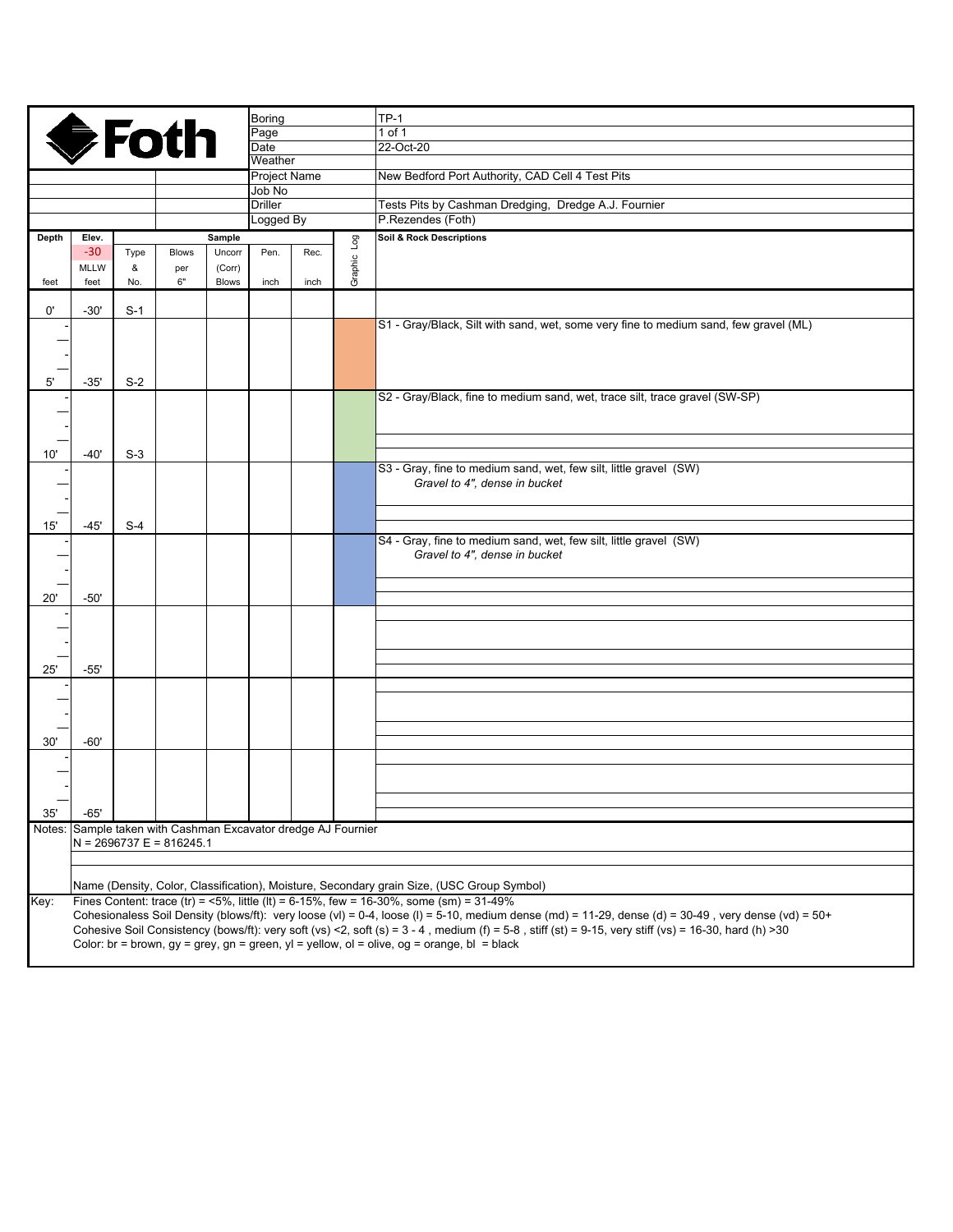|       |                                                                                                                                                                                     |       |                                                               |              | <b>Boring</b>       |      |             | $TP-1$                                                                               |  |  |  |
|-------|-------------------------------------------------------------------------------------------------------------------------------------------------------------------------------------|-------|---------------------------------------------------------------|--------------|---------------------|------|-------------|--------------------------------------------------------------------------------------|--|--|--|
|       |                                                                                                                                                                                     |       | <b>SFoth</b>                                                  |              | Page                |      |             | 1 of 1                                                                               |  |  |  |
|       |                                                                                                                                                                                     |       |                                                               |              | Date                |      |             | 22-Oct-20                                                                            |  |  |  |
|       |                                                                                                                                                                                     |       |                                                               |              | Weather             |      |             |                                                                                      |  |  |  |
|       |                                                                                                                                                                                     |       |                                                               |              | <b>Project Name</b> |      |             | New Bedford Port Authority, CAD Cell 4 Test Pits                                     |  |  |  |
|       |                                                                                                                                                                                     |       |                                                               |              | Job No              |      |             |                                                                                      |  |  |  |
|       |                                                                                                                                                                                     |       |                                                               |              | <b>Driller</b>      |      |             | Tests Pits by Cashman Dredging, Dredge A.J. Fournier                                 |  |  |  |
|       |                                                                                                                                                                                     |       |                                                               |              | Logged By           |      |             | P.Rezendes (Foth)                                                                    |  |  |  |
| Depth | Elev.                                                                                                                                                                               |       |                                                               | Sample       |                     |      |             | <b>Soil &amp; Rock Descriptions</b>                                                  |  |  |  |
|       | $-30$                                                                                                                                                                               | Type  | <b>Blows</b>                                                  | Uncorr       | Pen.                | Rec. | Graphic Log |                                                                                      |  |  |  |
|       | <b>MLLW</b>                                                                                                                                                                         | &     | per                                                           | (Corr)       |                     |      |             |                                                                                      |  |  |  |
| feet  | feet                                                                                                                                                                                | No.   | 6"                                                            | <b>Blows</b> | inch                | inch |             |                                                                                      |  |  |  |
|       |                                                                                                                                                                                     |       |                                                               |              |                     |      |             |                                                                                      |  |  |  |
| 0'    | $-30'$                                                                                                                                                                              | $S-1$ |                                                               |              |                     |      |             |                                                                                      |  |  |  |
|       |                                                                                                                                                                                     |       |                                                               |              |                     |      |             | S1 - Gray/Black, Silt with sand, wet, some very fine to medium sand, few gravel (ML) |  |  |  |
|       |                                                                                                                                                                                     |       |                                                               |              |                     |      |             |                                                                                      |  |  |  |
|       |                                                                                                                                                                                     |       |                                                               |              |                     |      |             |                                                                                      |  |  |  |
|       |                                                                                                                                                                                     |       |                                                               |              |                     |      |             |                                                                                      |  |  |  |
| 5'    | $-35'$                                                                                                                                                                              | $S-2$ |                                                               |              |                     |      |             |                                                                                      |  |  |  |
|       |                                                                                                                                                                                     |       |                                                               |              |                     |      |             | S2 - Gray/Black, fine to medium sand, wet, trace silt, trace gravel (SW-SP)          |  |  |  |
|       |                                                                                                                                                                                     |       |                                                               |              |                     |      |             |                                                                                      |  |  |  |
|       |                                                                                                                                                                                     |       |                                                               |              |                     |      |             |                                                                                      |  |  |  |
|       |                                                                                                                                                                                     |       |                                                               |              |                     |      |             |                                                                                      |  |  |  |
| 10'   | $-40'$                                                                                                                                                                              | $S-3$ |                                                               |              |                     |      |             |                                                                                      |  |  |  |
|       |                                                                                                                                                                                     |       |                                                               |              |                     |      |             | S3 - Gray, fine to medium sand, wet, few silt, little gravel (SW)                    |  |  |  |
|       |                                                                                                                                                                                     |       |                                                               |              |                     |      |             | Gravel to 4", dense in bucket                                                        |  |  |  |
|       |                                                                                                                                                                                     |       |                                                               |              |                     |      |             |                                                                                      |  |  |  |
|       |                                                                                                                                                                                     |       |                                                               |              |                     |      |             |                                                                                      |  |  |  |
| 15'   | $-45'$                                                                                                                                                                              | $S-4$ |                                                               |              |                     |      |             | S4 - Gray, fine to medium sand, wet, few silt, little gravel (SW)                    |  |  |  |
|       |                                                                                                                                                                                     |       |                                                               |              |                     |      |             | Gravel to 4", dense in bucket                                                        |  |  |  |
|       |                                                                                                                                                                                     |       |                                                               |              |                     |      |             |                                                                                      |  |  |  |
|       |                                                                                                                                                                                     |       |                                                               |              |                     |      |             |                                                                                      |  |  |  |
| 20'   | $-50'$                                                                                                                                                                              |       |                                                               |              |                     |      |             |                                                                                      |  |  |  |
|       |                                                                                                                                                                                     |       |                                                               |              |                     |      |             |                                                                                      |  |  |  |
|       |                                                                                                                                                                                     |       |                                                               |              |                     |      |             |                                                                                      |  |  |  |
|       |                                                                                                                                                                                     |       |                                                               |              |                     |      |             |                                                                                      |  |  |  |
|       |                                                                                                                                                                                     |       |                                                               |              |                     |      |             |                                                                                      |  |  |  |
| 25'   | $-55'$                                                                                                                                                                              |       |                                                               |              |                     |      |             |                                                                                      |  |  |  |
|       |                                                                                                                                                                                     |       |                                                               |              |                     |      |             |                                                                                      |  |  |  |
|       |                                                                                                                                                                                     |       |                                                               |              |                     |      |             |                                                                                      |  |  |  |
|       |                                                                                                                                                                                     |       |                                                               |              |                     |      |             |                                                                                      |  |  |  |
|       |                                                                                                                                                                                     |       |                                                               |              |                     |      |             |                                                                                      |  |  |  |
| 30'   | -60'                                                                                                                                                                                |       |                                                               |              |                     |      |             |                                                                                      |  |  |  |
|       |                                                                                                                                                                                     |       |                                                               |              |                     |      |             |                                                                                      |  |  |  |
|       |                                                                                                                                                                                     |       |                                                               |              |                     |      |             |                                                                                      |  |  |  |
|       |                                                                                                                                                                                     |       |                                                               |              |                     |      |             |                                                                                      |  |  |  |
|       |                                                                                                                                                                                     |       |                                                               |              |                     |      |             |                                                                                      |  |  |  |
| 35'   | $-65'$                                                                                                                                                                              |       |                                                               |              |                     |      |             |                                                                                      |  |  |  |
|       |                                                                                                                                                                                     |       | Notes: Sample taken with Cashman Excavator dredge AJ Fournier |              |                     |      |             |                                                                                      |  |  |  |
|       | $N = 2696737 E = 816245.1$                                                                                                                                                          |       |                                                               |              |                     |      |             |                                                                                      |  |  |  |
|       |                                                                                                                                                                                     |       |                                                               |              |                     |      |             |                                                                                      |  |  |  |
|       |                                                                                                                                                                                     |       |                                                               |              |                     |      |             |                                                                                      |  |  |  |
|       | Name (Density, Color, Classification), Moisture, Secondary grain Size, (USC Group Symbol)<br>Fines Content: trace (tr) = <5%, little (lt) = 6-15%, few = 16-30%, some (sm) = 31-49% |       |                                                               |              |                     |      |             |                                                                                      |  |  |  |
| Key:  | Cohesionaless Soil Density (blows/ft): very loose (vl) = 0-4, loose (l) = 5-10, medium dense (md) = 11-29, dense (d) = 30-49, very dense (vd) = 50+                                 |       |                                                               |              |                     |      |             |                                                                                      |  |  |  |
|       | Cohesive Soil Consistency (bows/ft): very soft (vs) <2, soft (s) = $3 - 4$ , medium (f) = $5 - 8$ , stiff (st) = $9 - 15$ , very stiff (vs) = $16 - 30$ , hard (h) > 30             |       |                                                               |              |                     |      |             |                                                                                      |  |  |  |
|       |                                                                                                                                                                                     |       |                                                               |              |                     |      |             |                                                                                      |  |  |  |

Color: br = brown,  $gy = grey$ ,  $gn = green$ ,  $yl = yellow$ ,  $ol = olive$ ,  $og = orange$ ,  $bl = black$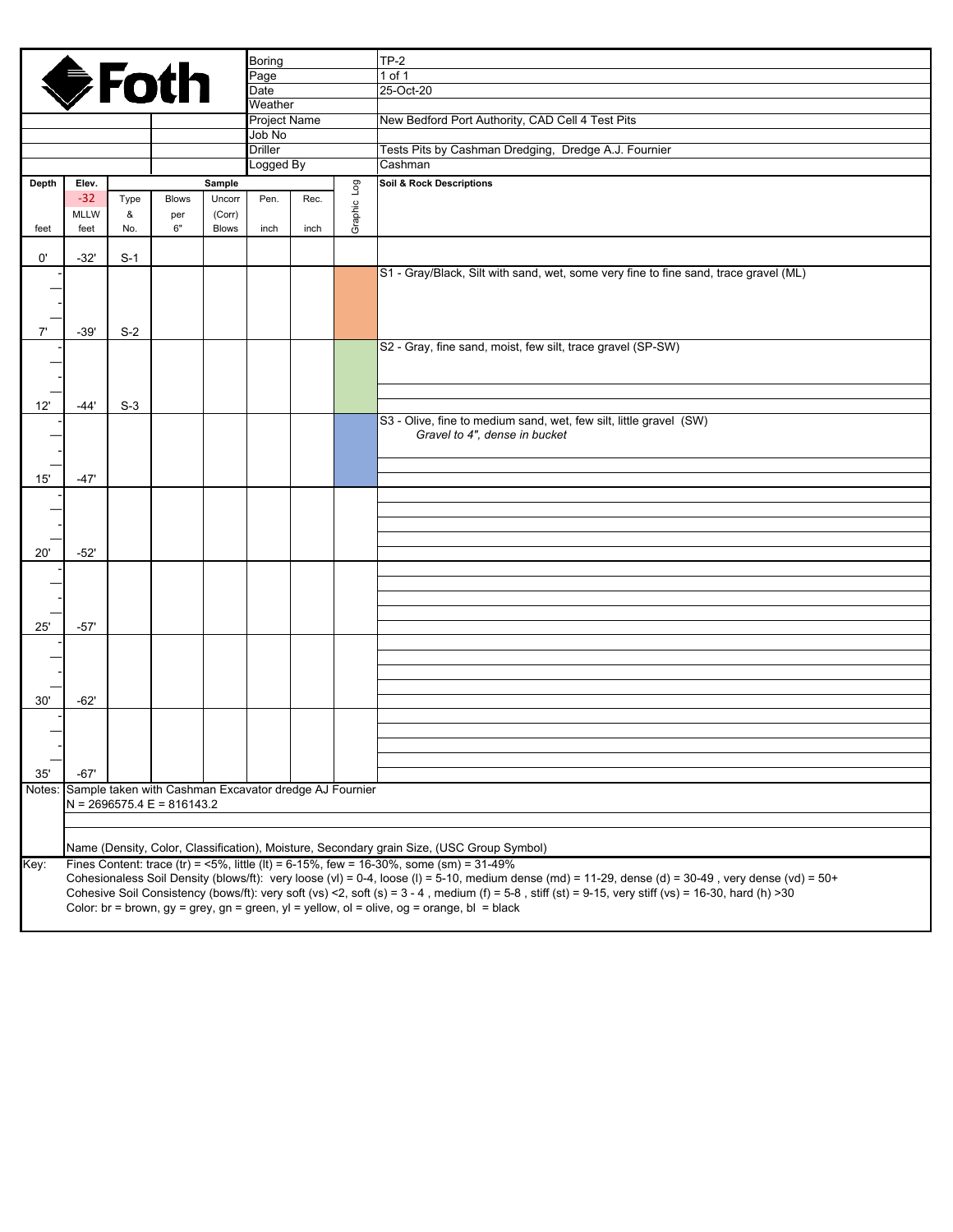|       |                                                                                                                                                                                                                                                                                                                                |       |              |              | Boring                   |      |             | $TP-2$                                                                                                                                                                                 |  |
|-------|--------------------------------------------------------------------------------------------------------------------------------------------------------------------------------------------------------------------------------------------------------------------------------------------------------------------------------|-------|--------------|--------------|--------------------------|------|-------------|----------------------------------------------------------------------------------------------------------------------------------------------------------------------------------------|--|
|       |                                                                                                                                                                                                                                                                                                                                |       |              |              | Page                     |      |             | 1 of 1                                                                                                                                                                                 |  |
|       |                                                                                                                                                                                                                                                                                                                                |       |              |              | Date<br>Weather          |      |             | 25-Oct-20                                                                                                                                                                              |  |
|       | <b>♦Foth</b>                                                                                                                                                                                                                                                                                                                   |       |              |              |                          |      |             |                                                                                                                                                                                        |  |
|       |                                                                                                                                                                                                                                                                                                                                |       |              |              | <b>Project Name</b>      |      |             | New Bedford Port Authority, CAD Cell 4 Test Pits                                                                                                                                       |  |
|       |                                                                                                                                                                                                                                                                                                                                |       |              |              | Job No<br><b>Driller</b> |      |             | Tests Pits by Cashman Dredging, Dredge A.J. Fournier                                                                                                                                   |  |
|       |                                                                                                                                                                                                                                                                                                                                |       |              |              | Logged By                |      |             | Cashman                                                                                                                                                                                |  |
| Depth | Elev.<br>Sample                                                                                                                                                                                                                                                                                                                |       |              |              |                          |      |             | <b>Soil &amp; Rock Descriptions</b>                                                                                                                                                    |  |
|       | $-32$                                                                                                                                                                                                                                                                                                                          | Type  | <b>Blows</b> | Uncorr       | Pen.                     | Rec. | Graphic Log |                                                                                                                                                                                        |  |
|       | <b>MLLW</b>                                                                                                                                                                                                                                                                                                                    | &     | per          | (Corr)       |                          |      |             |                                                                                                                                                                                        |  |
| feet  | feet                                                                                                                                                                                                                                                                                                                           | No.   | 6"           | <b>Blows</b> | inch                     | inch |             |                                                                                                                                                                                        |  |
| 0'    | $-32'$                                                                                                                                                                                                                                                                                                                         | $S-1$ |              |              |                          |      |             |                                                                                                                                                                                        |  |
|       |                                                                                                                                                                                                                                                                                                                                |       |              |              |                          |      |             | S1 - Gray/Black, Silt with sand, wet, some very fine to fine sand, trace gravel (ML)                                                                                                   |  |
|       |                                                                                                                                                                                                                                                                                                                                |       |              |              |                          |      |             |                                                                                                                                                                                        |  |
|       |                                                                                                                                                                                                                                                                                                                                |       |              |              |                          |      |             |                                                                                                                                                                                        |  |
| 7'    | $-39'$                                                                                                                                                                                                                                                                                                                         | $S-2$ |              |              |                          |      |             |                                                                                                                                                                                        |  |
|       |                                                                                                                                                                                                                                                                                                                                |       |              |              |                          |      |             | S2 - Gray, fine sand, moist, few silt, trace gravel (SP-SW)                                                                                                                            |  |
|       |                                                                                                                                                                                                                                                                                                                                |       |              |              |                          |      |             |                                                                                                                                                                                        |  |
|       |                                                                                                                                                                                                                                                                                                                                |       |              |              |                          |      |             |                                                                                                                                                                                        |  |
|       | $-44'$                                                                                                                                                                                                                                                                                                                         | $S-3$ |              |              |                          |      |             |                                                                                                                                                                                        |  |
| 12'   |                                                                                                                                                                                                                                                                                                                                |       |              |              |                          |      |             | S3 - Olive, fine to medium sand, wet, few silt, little gravel (SW)                                                                                                                     |  |
|       |                                                                                                                                                                                                                                                                                                                                |       |              |              |                          |      |             | Gravel to 4", dense in bucket                                                                                                                                                          |  |
|       |                                                                                                                                                                                                                                                                                                                                |       |              |              |                          |      |             |                                                                                                                                                                                        |  |
|       |                                                                                                                                                                                                                                                                                                                                |       |              |              |                          |      |             |                                                                                                                                                                                        |  |
| 15'   | $-47'$                                                                                                                                                                                                                                                                                                                         |       |              |              |                          |      |             |                                                                                                                                                                                        |  |
|       |                                                                                                                                                                                                                                                                                                                                |       |              |              |                          |      |             |                                                                                                                                                                                        |  |
|       |                                                                                                                                                                                                                                                                                                                                |       |              |              |                          |      |             |                                                                                                                                                                                        |  |
|       |                                                                                                                                                                                                                                                                                                                                |       |              |              |                          |      |             |                                                                                                                                                                                        |  |
| 20'   | $-52'$                                                                                                                                                                                                                                                                                                                         |       |              |              |                          |      |             |                                                                                                                                                                                        |  |
|       |                                                                                                                                                                                                                                                                                                                                |       |              |              |                          |      |             |                                                                                                                                                                                        |  |
|       |                                                                                                                                                                                                                                                                                                                                |       |              |              |                          |      |             |                                                                                                                                                                                        |  |
|       |                                                                                                                                                                                                                                                                                                                                |       |              |              |                          |      |             |                                                                                                                                                                                        |  |
| 25'   | $-57'$                                                                                                                                                                                                                                                                                                                         |       |              |              |                          |      |             |                                                                                                                                                                                        |  |
|       |                                                                                                                                                                                                                                                                                                                                |       |              |              |                          |      |             |                                                                                                                                                                                        |  |
|       |                                                                                                                                                                                                                                                                                                                                |       |              |              |                          |      |             |                                                                                                                                                                                        |  |
|       |                                                                                                                                                                                                                                                                                                                                |       |              |              |                          |      |             |                                                                                                                                                                                        |  |
| 30'   | $-62'$                                                                                                                                                                                                                                                                                                                         |       |              |              |                          |      |             |                                                                                                                                                                                        |  |
|       |                                                                                                                                                                                                                                                                                                                                |       |              |              |                          |      |             |                                                                                                                                                                                        |  |
|       |                                                                                                                                                                                                                                                                                                                                |       |              |              |                          |      |             |                                                                                                                                                                                        |  |
|       |                                                                                                                                                                                                                                                                                                                                |       |              |              |                          |      |             |                                                                                                                                                                                        |  |
| 35'   | $-67'$                                                                                                                                                                                                                                                                                                                         |       |              |              |                          |      |             |                                                                                                                                                                                        |  |
|       |                                                                                                                                                                                                                                                                                                                                |       |              |              |                          |      |             |                                                                                                                                                                                        |  |
|       | Notes: Sample taken with Cashman Excavator dredge AJ Fournier<br>$N = 2696575.4 E = 816143.2$                                                                                                                                                                                                                                  |       |              |              |                          |      |             |                                                                                                                                                                                        |  |
|       |                                                                                                                                                                                                                                                                                                                                |       |              |              |                          |      |             |                                                                                                                                                                                        |  |
|       |                                                                                                                                                                                                                                                                                                                                |       |              |              |                          |      |             |                                                                                                                                                                                        |  |
|       |                                                                                                                                                                                                                                                                                                                                |       |              |              |                          |      |             | Name (Density, Color, Classification), Moisture, Secondary grain Size, (USC Group Symbol)<br>Fines Content: trace (tr) = $5\%$ , little (lt) = 6-15%, few = 16-30%, some (sm) = 31-49% |  |
| Key:  |                                                                                                                                                                                                                                                                                                                                |       |              |              |                          |      |             |                                                                                                                                                                                        |  |
|       | Cohesionaless Soil Density (blows/ft): very loose (vl) = 0-4, loose (l) = 5-10, medium dense (md) = 11-29, dense (d) = 30-49, very dense (vd) = 50+<br>Cohesive Soil Consistency (bows/ft): very soft (vs) <2, soft (s) = $3 - 4$ , medium (f) = $5 - 8$ , stiff (st) = $9 - 15$ , very stiff (vs) = $16 - 30$ , hard (h) > 30 |       |              |              |                          |      |             |                                                                                                                                                                                        |  |
|       | Color: br = brown, gy = grey, gn = green, yl = yellow, ol = olive, og = orange, bl = black                                                                                                                                                                                                                                     |       |              |              |                          |      |             |                                                                                                                                                                                        |  |